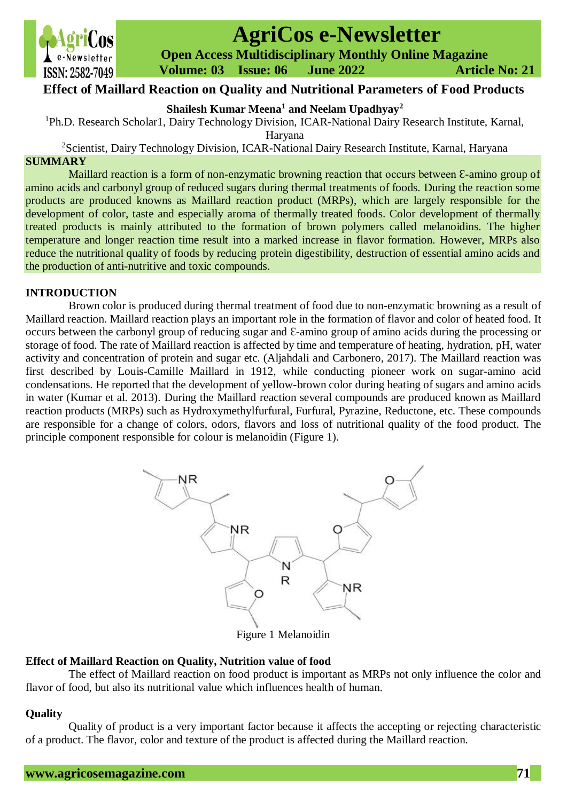

# **AgriCos e-Newsletter**

 **Open Access Multidisciplinary Monthly Online Magazine**

 **Volume: 03 Issue: 06 June 2022 Article No: 21**

# **Effect of Maillard Reaction on Quality and Nutritional Parameters of Food Products**

**Shailesh Kumar Meena<sup>1</sup> and Neelam Upadhyay<sup>2</sup>**

<sup>1</sup>Ph.D. Research Scholar1, Dairy Technology Division, ICAR-National Dairy Research Institute, Karnal,

Haryana

<sup>2</sup>Scientist, Dairy Technology Division, ICAR-National Dairy Research Institute, Karnal, Haryana

# **SUMMARY**

Maillard reaction is a form of non-enzymatic browning reaction that occurs between  $\epsilon$ -amino group of amino acids and carbonyl group of reduced sugars during thermal treatments of foods. During the reaction some products are produced knowns as Maillard reaction product (MRPs), which are largely responsible for the development of color, taste and especially aroma of thermally treated foods. Color development of thermally treated products is mainly attributed to the formation of brown polymers called melanoidins. The higher temperature and longer reaction time result into a marked increase in flavor formation. However, MRPs also reduce the nutritional quality of foods by reducing protein digestibility, destruction of essential amino acids and the production of anti-nutritive and toxic compounds.

# **INTRODUCTION**

Brown color is produced during thermal treatment of food due to non-enzymatic browning as a result of Maillard reaction. Maillard reaction plays an important role in the formation of flavor and color of heated food. It occurs between the carbonyl group of reducing sugar and Ɛ-amino group of amino acids during the processing or storage of food. The rate of Maillard reaction is affected by time and temperature of heating, hydration, pH, water activity and concentration of protein and sugar etc. (Aljahdali and Carbonero, 2017). The Maillard reaction was first described by Louis-Camille Maillard in 1912, while conducting pioneer work on sugar-amino acid condensations. He reported that the development of yellow-brown color during heating of sugars and amino acids in water (Kumar et al. 2013). During the Maillard reaction several compounds are produced known as Maillard reaction products (MRPs) such as Hydroxymethylfurfural, Furfural, Pyrazine, Reductone, etc. These compounds are responsible for a change of colors, odors, flavors and loss of nutritional quality of the food product. The principle component responsible for colour is melanoidin (Figure 1).



Figure 1 Melanoidin

# **Effect of Maillard Reaction on Quality, Nutrition value of food**

The effect of Maillard reaction on food product is important as MRPs not only influence the color and flavor of food, but also its nutritional value which influences health of human.

# **Quality**

Quality of product is a very important factor because it affects the accepting or rejecting characteristic of a product. The flavor, color and texture of the product is affected during the Maillard reaction.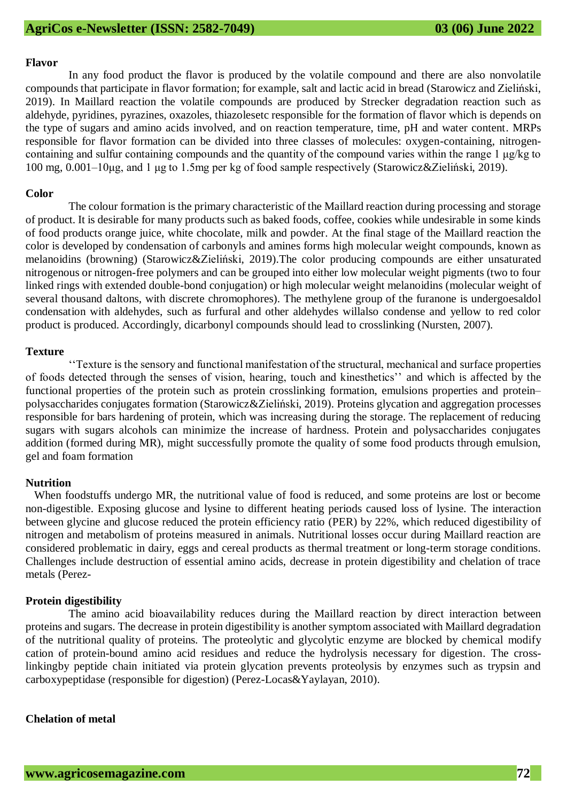### **Flavor**

In any food product the flavor is produced by the volatile compound and there are also nonvolatile compounds that participate in flavor formation; for example, salt and lactic acid in bread (Starowicz and Zieliński, 2019). In Maillard reaction the volatile compounds are produced by Strecker degradation reaction such as aldehyde, pyridines, pyrazines, oxazoles, thiazolesetc responsible for the formation of flavor which is depends on the type of sugars and amino acids involved, and on reaction temperature, time, pH and water content. MRPs responsible for flavor formation can be divided into three classes of molecules: oxygen-containing, nitrogencontaining and sulfur containing compounds and the quantity of the compound varies within the range 1 μg/kg to 100 mg, 0.001–10μg, and 1 μg to 1.5mg per kg of food sample respectively (Starowicz&Zieliński, 2019).

### **Color**

The colour formation is the primary characteristic of the Maillard reaction during processing and storage of product. It is desirable for many products such as baked foods, coffee, cookies while undesirable in some kinds of food products orange juice, white chocolate, milk and powder. At the final stage of the Maillard reaction the color is developed by condensation of carbonyls and amines forms high molecular weight compounds, known as melanoidins (browning) (Starowicz&Zieliński, 2019).The color producing compounds are either unsaturated nitrogenous or nitrogen-free polymers and can be grouped into either low molecular weight pigments (two to four linked rings with extended double-bond conjugation) or high molecular weight melanoidins (molecular weight of several thousand daltons, with discrete chromophores). The methylene group of the furanone is undergoesaldol condensation with aldehydes, such as furfural and other aldehydes willalso condense and yellow to red color product is produced. Accordingly, dicarbonyl compounds should lead to crosslinking (Nursten, 2007).

## **Texture**

''Texture is the sensory and functional manifestation of the structural, mechanical and surface properties of foods detected through the senses of vision, hearing, touch and kinesthetics'' and which is affected by the functional properties of the protein such as protein crosslinking formation, emulsions properties and protein– polysaccharides conjugates formation (Starowicz&Zieliński, 2019). Proteins glycation and aggregation processes responsible for bars hardening of protein, which was increasing during the storage. The replacement of reducing sugars with sugars alcohols can minimize the increase of hardness. Protein and polysaccharides conjugates addition (formed during MR), might successfully promote the quality of some food products through emulsion, gel and foam formation

## **Nutrition**

When foodstuffs undergo MR, the nutritional value of food is reduced, and some proteins are lost or become non-digestible. Exposing glucose and lysine to different heating periods caused loss of lysine. The interaction between glycine and glucose reduced the protein efficiency ratio (PER) by 22%, which reduced digestibility of nitrogen and metabolism of proteins measured in animals. Nutritional losses occur during Maillard reaction are considered problematic in dairy, eggs and cereal products as thermal treatment or long-term storage conditions. Challenges include destruction of essential amino acids, decrease in protein digestibility and chelation of trace metals (Perez-

## **Protein digestibility**

The amino acid bioavailability reduces during the Maillard reaction by direct interaction between proteins and sugars. The decrease in protein digestibility is another symptom associated with Maillard degradation of the nutritional quality of proteins. The proteolytic and glycolytic enzyme are blocked by chemical modify cation of protein-bound amino acid residues and reduce the hydrolysis necessary for digestion. The crosslinkingby peptide chain initiated via protein glycation prevents proteolysis by enzymes such as trypsin and carboxypeptidase (responsible for digestion) (Perez-Locas&Yaylayan, 2010).

## **Chelation of metal**